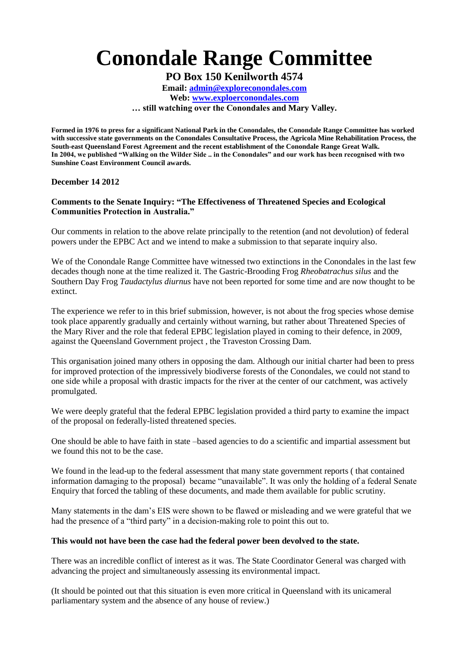## **Conondale Range Committee**

**PO Box 150 Kenilworth 4574**

**Email: [admin@exploreconondales.com](mailto:admin@exploreconondales.com) Web: [www.exploerconondales.com](http://www.exploerconondales.com/) … still watching over the Conondales and Mary Valley.**

**Formed in 1976 to press for a significant National Park in the Conondales, the Conondale Range Committee has worked with successive state governments on the Conondales Consultative Process, the Agricola Mine Rehabilitation Process, the South-east Queensland Forest Agreement and the recent establishment of the Conondale Range Great Walk. In 2004, we published "Walking on the Wilder Side .. in the Conondales" and our work has been recognised with two Sunshine Coast Environment Council awards.**

**December 14 2012**

## **Comments to the Senate Inquiry: "The Effectiveness of Threatened Species and Ecological Communities Protection in Australia."**

Our comments in relation to the above relate principally to the retention (and not devolution) of federal powers under the EPBC Act and we intend to make a submission to that separate inquiry also.

We of the Conondale Range Committee have witnessed two extinctions in the Conondales in the last few decades though none at the time realized it. The Gastric-Brooding Frog *Rheobatrachus silus* and the Southern Day Frog *Taudactylus diurnus* have not been reported for some time and are now thought to be extinct.

The experience we refer to in this brief submission, however, is not about the frog species whose demise took place apparently gradually and certainly without warning, but rather about Threatened Species of the Mary River and the role that federal EPBC legislation played in coming to their defence, in 2009, against the Queensland Government project , the Traveston Crossing Dam.

This organisation joined many others in opposing the dam. Although our initial charter had been to press for improved protection of the impressively biodiverse forests of the Conondales, we could not stand to one side while a proposal with drastic impacts for the river at the center of our catchment, was actively promulgated.

We were deeply grateful that the federal EPBC legislation provided a third party to examine the impact of the proposal on federally-listed threatened species.

One should be able to have faith in state –based agencies to do a scientific and impartial assessment but we found this not to be the case.

We found in the lead-up to the federal assessment that many state government reports (that contained information damaging to the proposal) became "unavailable". It was only the holding of a federal Senate Enquiry that forced the tabling of these documents, and made them available for public scrutiny.

Many statements in the dam's EIS were shown to be flawed or misleading and we were grateful that we had the presence of a "third party" in a decision-making role to point this out to.

## **This would not have been the case had the federal power been devolved to the state.**

There was an incredible conflict of interest as it was. The State Coordinator General was charged with advancing the project and simultaneously assessing its environmental impact.

(It should be pointed out that this situation is even more critical in Queensland with its unicameral parliamentary system and the absence of any house of review.)